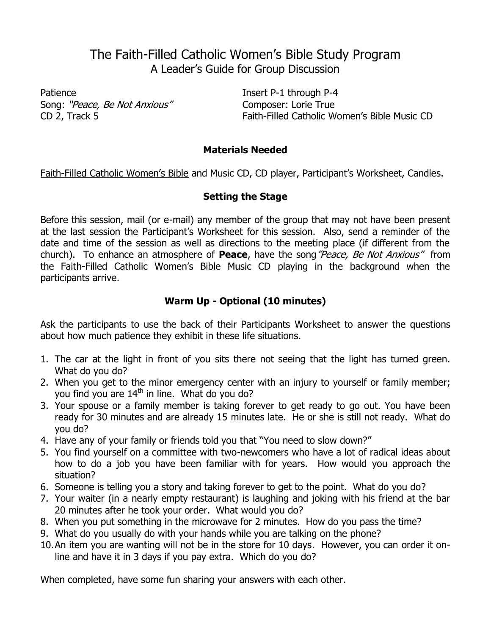# The Faith-Filled Catholic Women's Bible Study Program A Leader's Guide for Group Discussion

Patience Insert P-1 through P-4 Song: "Peace, Be Not Anxious" Composer: Lorie True

CD 2, Track 5 Faith-Filled Catholic Women's Bible Music CD

# **Materials Needed**

Faith-Filled Catholic Women's Bible and Music CD, CD player, Participant's Worksheet, Candles.

# **Setting the Stage**

Before this session, mail (or e-mail) any member of the group that may not have been present at the last session the Participant's Worksheet for this session. Also, send a reminder of the date and time of the session as well as directions to the meeting place (if different from the church). To enhance an atmosphere of **Peace**, have the song"Peace, Be Not Anxious" from the Faith-Filled Catholic Women's Bible Music CD playing in the background when the participants arrive.

# **Warm Up - Optional (10 minutes)**

Ask the participants to use the back of their Participants Worksheet to answer the questions about how much patience they exhibit in these life situations.

- 1. The car at the light in front of you sits there not seeing that the light has turned green. What do you do?
- 2. When you get to the minor emergency center with an injury to yourself or family member; you find you are 14<sup>th</sup> in line. What do you do?
- 3. Your spouse or a family member is taking forever to get ready to go out. You have been ready for 30 minutes and are already 15 minutes late. He or she is still not ready. What do you do?
- 4. Have any of your family or friends told you that "You need to slow down?"
- 5. You find yourself on a committee with two-newcomers who have a lot of radical ideas about how to do a job you have been familiar with for years. How would you approach the situation?
- 6. Someone is telling you a story and taking forever to get to the point. What do you do?
- 7. Your waiter (in a nearly empty restaurant) is laughing and joking with his friend at the bar 20 minutes after he took your order. What would you do?
- 8. When you put something in the microwave for 2 minutes. How do you pass the time?
- 9. What do you usually do with your hands while you are talking on the phone?
- 10.An item you are wanting will not be in the store for 10 days. However, you can order it online and have it in 3 days if you pay extra. Which do you do?

When completed, have some fun sharing your answers with each other.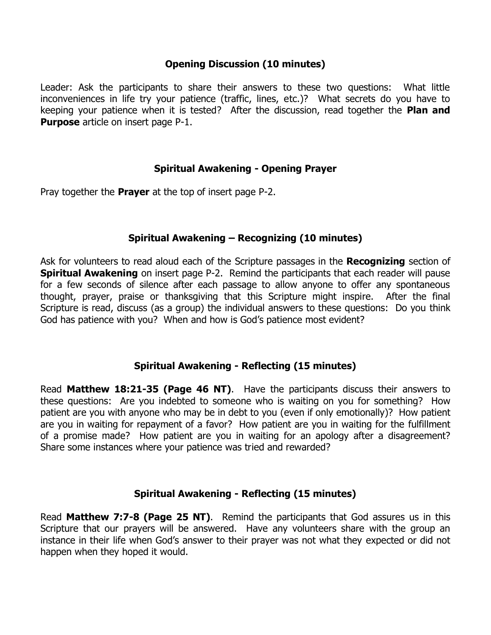#### **Opening Discussion (10 minutes)**

Leader: Ask the participants to share their answers to these two questions: What little inconveniences in life try your patience (traffic, lines, etc.)? What secrets do you have to keeping your patience when it is tested? After the discussion, read together the **Plan and Purpose** article on insert page P-1.

#### **Spiritual Awakening - Opening Prayer**

Pray together the **Prayer** at the top of insert page P-2.

#### **Spiritual Awakening – Recognizing (10 minutes)**

Ask for volunteers to read aloud each of the Scripture passages in the **Recognizing** section of **Spiritual Awakening** on insert page P-2. Remind the participants that each reader will pause for a few seconds of silence after each passage to allow anyone to offer any spontaneous thought, prayer, praise or thanksgiving that this Scripture might inspire. After the final Scripture is read, discuss (as a group) the individual answers to these questions: Do you think God has patience with you? When and how is God's patience most evident?

#### **Spiritual Awakening - Reflecting (15 minutes)**

Read **Matthew 18:21-35 (Page 46 NT)**. Have the participants discuss their answers to these questions: Are you indebted to someone who is waiting on you for something? How patient are you with anyone who may be in debt to you (even if only emotionally)? How patient are you in waiting for repayment of a favor? How patient are you in waiting for the fulfillment of a promise made? How patient are you in waiting for an apology after a disagreement? Share some instances where your patience was tried and rewarded?

#### **Spiritual Awakening - Reflecting (15 minutes)**

Read **Matthew 7:7-8 (Page 25 NT)**. Remind the participants that God assures us in this Scripture that our prayers will be answered. Have any volunteers share with the group an instance in their life when God's answer to their prayer was not what they expected or did not happen when they hoped it would.